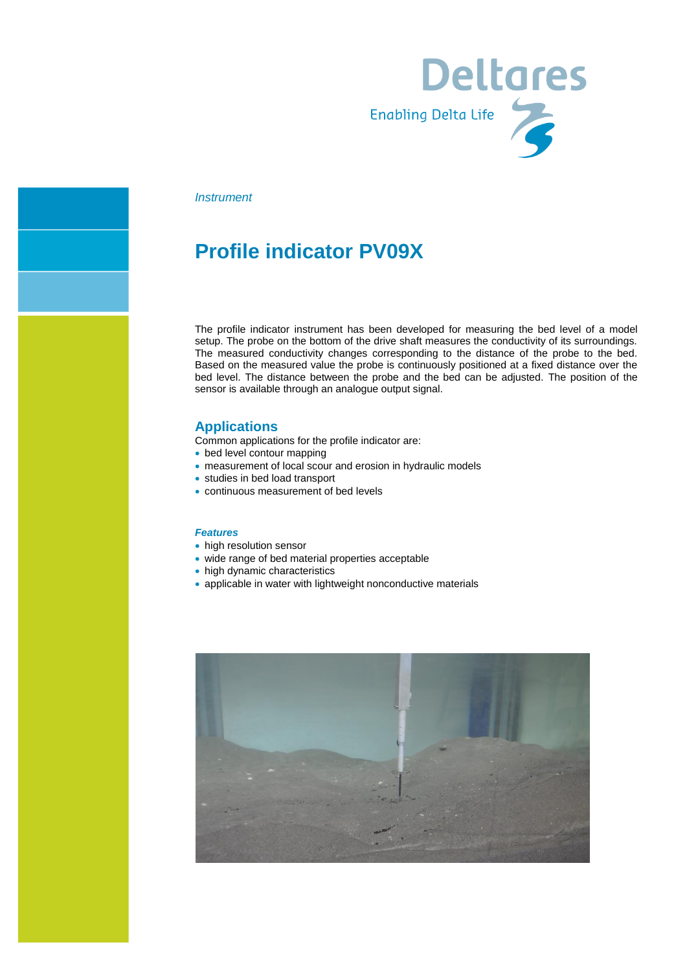

#### *Instrument*

## **Profile indicator PV09X**

The profile indicator instrument has been developed for measuring the bed level of a model setup. The probe on the bottom of the drive shaft measures the conductivity of its surroundings. The measured conductivity changes corresponding to the distance of the probe to the bed. Based on the measured value the probe is continuously positioned at a fixed distance over the bed level. The distance between the probe and the bed can be adjusted. The position of the sensor is available through an analogue output signal.

#### **Applications**

- Common applications for the profile indicator are:
- bed level contour mapping
- measurement of local scour and erosion in hydraulic models
- studies in bed load transport
- continuous measurement of bed levels

#### *Features*

- high resolution sensor
- wide range of bed material properties acceptable
- high dynamic characteristics
- applicable in water with lightweight nonconductive materials